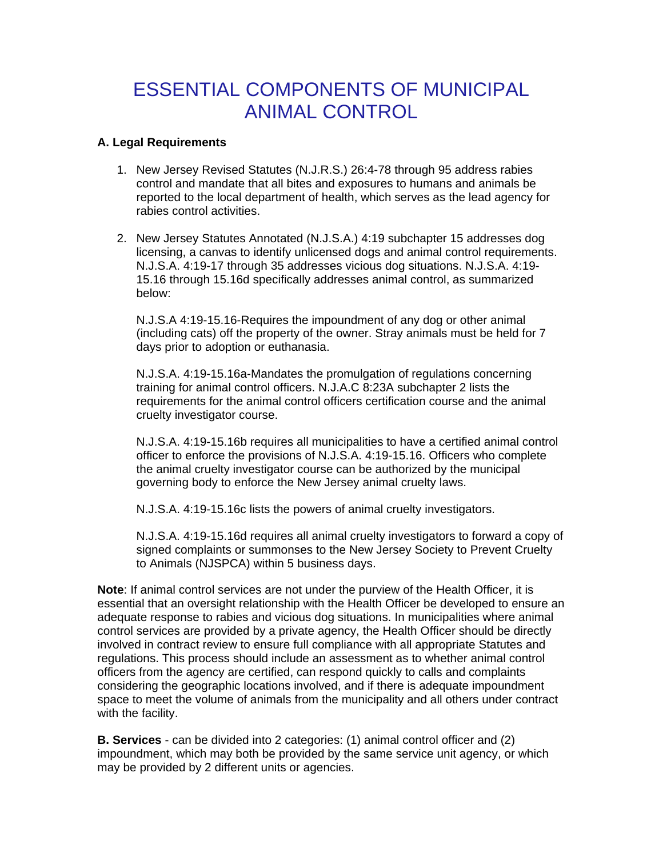## ESSENTIAL COMPONENTS OF MUNICIPAL ANIMAL CONTROL

## **A. Legal Requirements**

- 1. New Jersey Revised Statutes (N.J.R.S.) 26:4-78 through 95 address rabies control and mandate that all bites and exposures to humans and animals be reported to the local department of health, which serves as the lead agency for rabies control activities.
- 2. New Jersey Statutes Annotated (N.J.S.A.) 4:19 subchapter 15 addresses dog licensing, a canvas to identify unlicensed dogs and animal control requirements. N.J.S.A. 4:19-17 through 35 addresses vicious dog situations. N.J.S.A. 4:19- 15.16 through 15.16d specifically addresses animal control, as summarized below:

N.J.S.A 4:19-15.16-Requires the impoundment of any dog or other animal (including cats) off the property of the owner. Stray animals must be held for 7 days prior to adoption or euthanasia.

N.J.S.A. 4:19-15.16a-Mandates the promulgation of regulations concerning training for animal control officers. N.J.A.C 8:23A subchapter 2 lists the requirements for the animal control officers certification course and the animal cruelty investigator course.

N.J.S.A. 4:19-15.16b requires all municipalities to have a certified animal control officer to enforce the provisions of N.J.S.A. 4:19-15.16. Officers who complete the animal cruelty investigator course can be authorized by the municipal governing body to enforce the New Jersey animal cruelty laws.

N.J.S.A. 4:19-15.16c lists the powers of animal cruelty investigators.

N.J.S.A. 4:19-15.16d requires all animal cruelty investigators to forward a copy of signed complaints or summonses to the New Jersey Society to Prevent Cruelty to Animals (NJSPCA) within 5 business days.

**Note**: If animal control services are not under the purview of the Health Officer, it is essential that an oversight relationship with the Health Officer be developed to ensure an adequate response to rabies and vicious dog situations. In municipalities where animal control services are provided by a private agency, the Health Officer should be directly involved in contract review to ensure full compliance with all appropriate Statutes and regulations. This process should include an assessment as to whether animal control officers from the agency are certified, can respond quickly to calls and complaints considering the geographic locations involved, and if there is adequate impoundment space to meet the volume of animals from the municipality and all others under contract with the facility.

**B. Services** - can be divided into 2 categories: (1) animal control officer and (2) impoundment, which may both be provided by the same service unit agency, or which may be provided by 2 different units or agencies.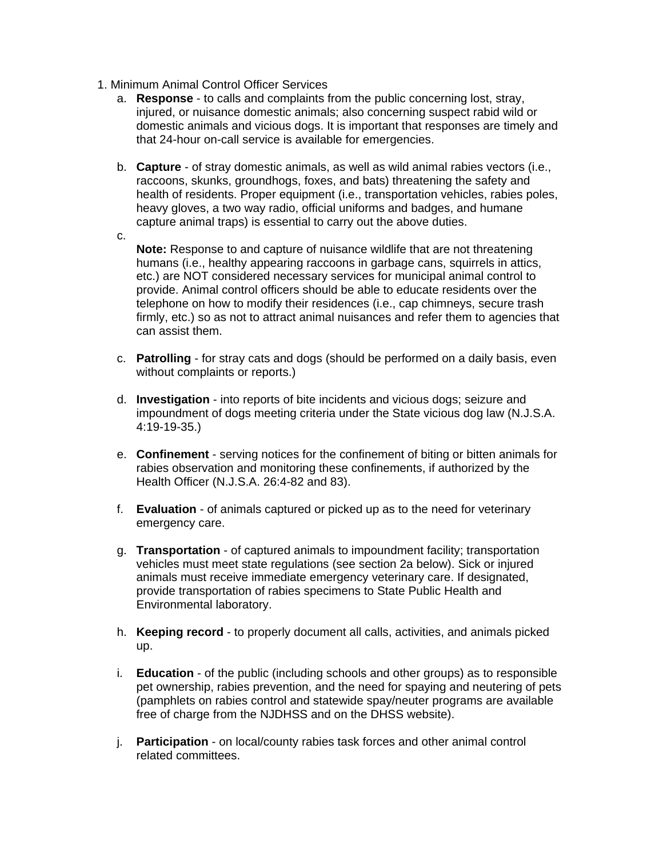- 1. Minimum Animal Control Officer Services
	- a. **Response** to calls and complaints from the public concerning lost, stray, injured, or nuisance domestic animals; also concerning suspect rabid wild or domestic animals and vicious dogs. It is important that responses are timely and that 24-hour on-call service is available for emergencies.
	- b. **Capture** of stray domestic animals, as well as wild animal rabies vectors (i.e., raccoons, skunks, groundhogs, foxes, and bats) threatening the safety and health of residents. Proper equipment (i.e., transportation vehicles, rabies poles, heavy gloves, a two way radio, official uniforms and badges, and humane capture animal traps) is essential to carry out the above duties.
	- c.

**Note:** Response to and capture of nuisance wildlife that are not threatening humans (i.e., healthy appearing raccoons in garbage cans, squirrels in attics, etc.) are NOT considered necessary services for municipal animal control to provide. Animal control officers should be able to educate residents over the telephone on how to modify their residences (i.e., cap chimneys, secure trash firmly, etc.) so as not to attract animal nuisances and refer them to agencies that can assist them.

- c. **Patrolling**  for stray cats and dogs (should be performed on a daily basis, even without complaints or reports.)
- d. **Investigation** into reports of bite incidents and vicious dogs; seizure and impoundment of dogs meeting criteria under the State vicious dog law (N.J.S.A. 4:19-19-35.)
- e. **Confinement**  serving notices for the confinement of biting or bitten animals for rabies observation and monitoring these confinements, if authorized by the Health Officer (N.J.S.A. 26:4-82 and 83).
- f. **Evaluation** of animals captured or picked up as to the need for veterinary emergency care.
- g. **Transportation** of captured animals to impoundment facility; transportation vehicles must meet state regulations (see section 2a below). Sick or injured animals must receive immediate emergency veterinary care. If designated, provide transportation of rabies specimens to State Public Health and Environmental laboratory.
- h. **Keeping record** to properly document all calls, activities, and animals picked up.
- i. **Education** of the public (including schools and other groups) as to responsible pet ownership, rabies prevention, and the need for spaying and neutering of pets (pamphlets on rabies control and statewide spay/neuter programs are available free of charge from the NJDHSS and on the DHSS website).
- j. **Participation** on local/county rabies task forces and other animal control related committees.